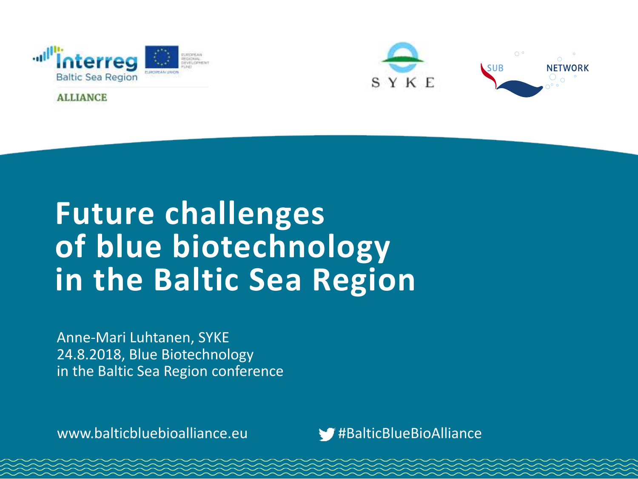

**ALLIANCE** 



# **Future challenges of blue biotechnology in the Baltic Sea Region**

Anne-Mari Luhtanen, SYKE 24.8.2018, Blue Biotechnology in the Baltic Sea Region conference

www.balticbluebioalliance.eu #BalticBlueBioAlliance

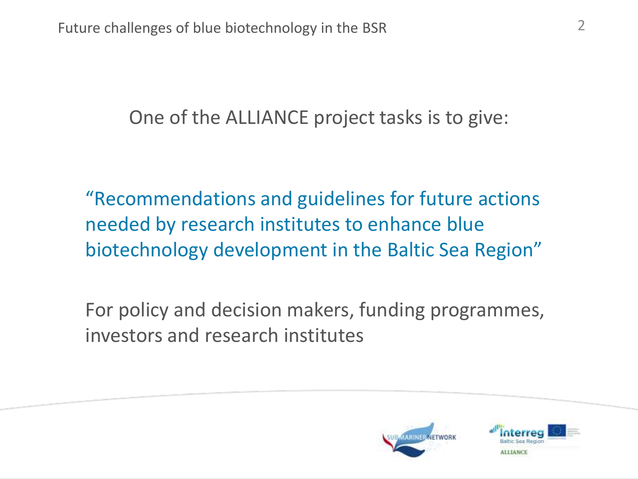One of the ALLIANCE project tasks is to give:

"Recommendations and guidelines for future actions needed by research institutes to enhance blue biotechnology development in the Baltic Sea Region"

For policy and decision makers, funding programmes, investors and research institutes



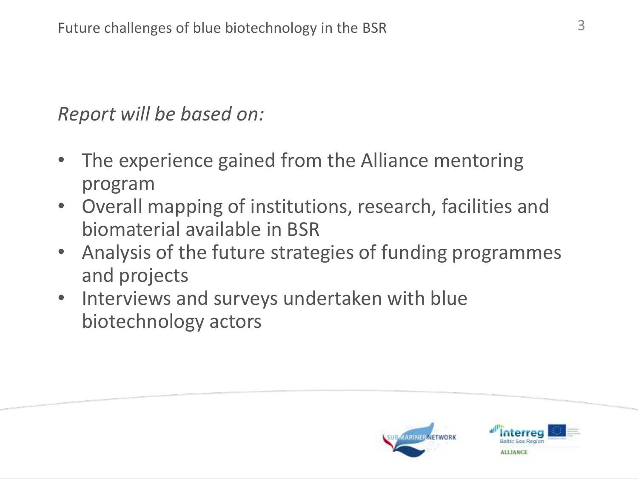*Report will be based on:*

- The experience gained from the Alliance mentoring program
- Overall mapping of institutions, research, facilities and biomaterial available in BSR
- Analysis of the future strategies of funding programmes and projects
- Interviews and surveys undertaken with blue biotechnology actors



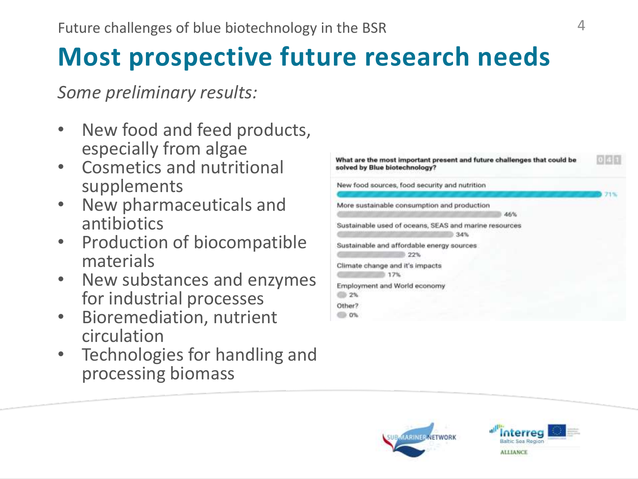## **Most prospective future research needs**

*Some preliminary results:*

- New food and feed products, especially from algae
- Cosmetics and nutritional supplements
- New pharmaceuticals and antibiotics
- Production of biocompatible materials
- New substances and enzymes for industrial processes
- Bioremediation, nutrient circulation
- Technologies for handling and processing biomass

| What are the most important present and future challenges that could be<br>solved by Blue biotechnology? |     |
|----------------------------------------------------------------------------------------------------------|-----|
| New food sources, food security and nutrition                                                            | 71% |
| More sustainable consumption and production<br>46%                                                       |     |
| Sustainable used of oceans, SEAS and marine resources<br>34%                                             |     |
| Sustainable and affordable energy sources<br>22%                                                         |     |
| Climate change and it's impacts<br>17%                                                                   |     |
| Employment and World economy<br>2%                                                                       |     |
| Other?<br>$0\%$                                                                                          |     |



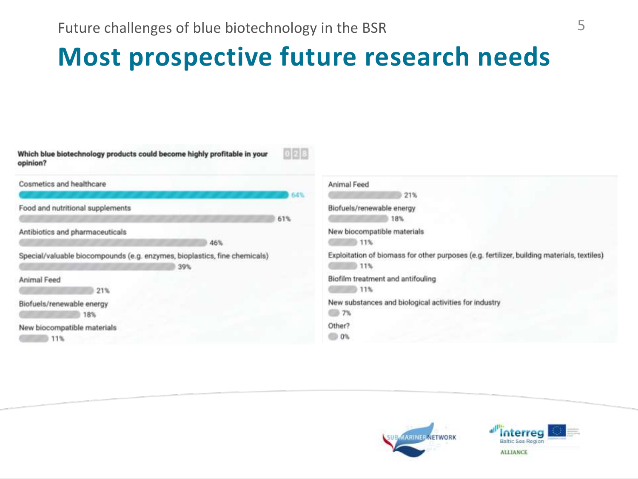### **Most prospective future research needs**

| Which blue biotechnology products could become highly profitable in your<br>opinion? | 0 2 8                                                                                      |
|--------------------------------------------------------------------------------------|--------------------------------------------------------------------------------------------|
| Cosmetics and healthcare                                                             | Animal Feed<br>21%<br>64%                                                                  |
| Food and nutritional supplements                                                     | Biofuels/renewable energy<br>18%<br>61%                                                    |
| Antibiotics and pharmaceuticals                                                      | New biocompatible materials                                                                |
| 46%                                                                                  | $11\%$                                                                                     |
| Special/valuable biocompounds (e.g. enzymes, bioplastics, fine chemicals)            | Exploitation of biomass for other purposes (e.g. fertilizer, building materials, textiles) |
| 39%                                                                                  | 0.11%                                                                                      |
| Animal Feed                                                                          | Biofilm treatment and antifouling                                                          |
| 21%                                                                                  | 11%                                                                                        |
| Biofuels/renewable energy                                                            | New substances and biological activities for industry                                      |
| 18%                                                                                  | 276                                                                                        |
| New biocompatible materials                                                          | Other?                                                                                     |
| 11%                                                                                  | <b>0%</b>                                                                                  |



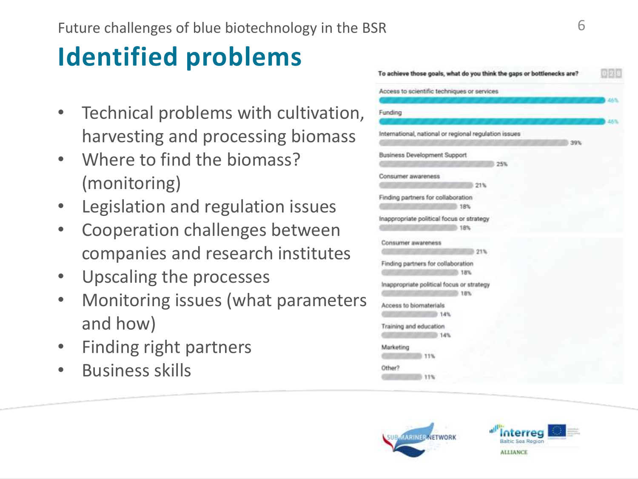## **Identified problems**

- Technical problems with cultivation, harvesting and processing biomass
- Where to find the biomass? (monitoring)
- Legislation and regulation issues
- Cooperation challenges between companies and research institutes
- Upscaling the processes
- Monitoring issues (what parameters and how)
- Finding right partners
- Business skills

| To achieve those goals, what do you think the gaps or bottlenecks are? | 133933 |
|------------------------------------------------------------------------|--------|
| Access to scientific techniques or services                            |        |
|                                                                        | 46%    |
| Funding                                                                |        |
|                                                                        | 46%    |
| International, national or regional regulation issues                  |        |
| 39%                                                                    |        |
| <b>Business Development Support</b>                                    |        |
| 25%                                                                    |        |
| Consumer awareness                                                     |        |
| 21%                                                                    |        |
| Finding partners for collaboration<br>18%                              |        |
| Inappropriate political focus or strategy<br>18%                       |        |
| Consumer awareness<br>21%                                              |        |
| Finding partners for collaboration<br>18%                              |        |
| Inappropriate political focus or strategy<br>18%                       |        |
| Access to biomaterials                                                 |        |
| <b>14%</b>                                                             |        |
| Training and education<br>14%                                          |        |
| Marketing                                                              |        |
| 11%                                                                    |        |
| Other?                                                                 |        |
| 11%                                                                    |        |



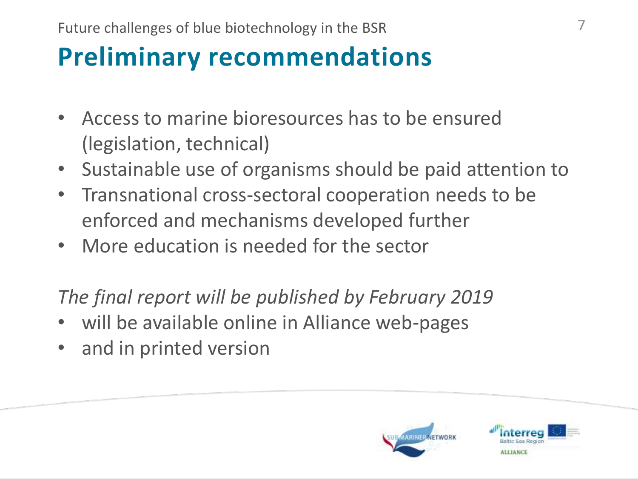## **Preliminary recommendations**

- Access to marine bioresources has to be ensured (legislation, technical)
- Sustainable use of organisms should be paid attention to
- Transnational cross-sectoral cooperation needs to be enforced and mechanisms developed further
- More education is needed for the sector

*The final report will be published by February 2019*

- will be available online in Alliance web-pages
- and in printed version